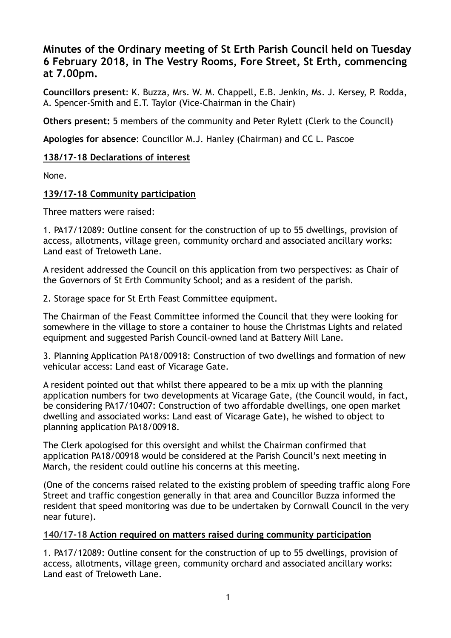# **Minutes of the Ordinary meeting of St Erth Parish Council held on Tuesday 6 February 2018, in The Vestry Rooms, Fore Street, St Erth, commencing at 7.00pm.**

**Councillors present**: K. Buzza, Mrs. W. M. Chappell, E.B. Jenkin, Ms. J. Kersey, P. Rodda, A. Spencer-Smith and E.T. Taylor (Vice-Chairman in the Chair)

**Others present:** 5 members of the community and Peter Rylett (Clerk to the Council)

**Apologies for absence**: Councillor M.J. Hanley (Chairman) and CC L. Pascoe

### **138/17-18 Declarations of interest**

None.

### **139/17-18 Community participation**

Three matters were raised:

1. PA17/12089: Outline consent for the construction of up to 55 dwellings, provision of access, allotments, village green, community orchard and associated ancillary works: Land east of Treloweth Lane.

A resident addressed the Council on this application from two perspectives: as Chair of the Governors of St Erth Community School; and as a resident of the parish.

2. Storage space for St Erth Feast Committee equipment.

The Chairman of the Feast Committee informed the Council that they were looking for somewhere in the village to store a container to house the Christmas Lights and related equipment and suggested Parish Council-owned land at Battery Mill Lane.

3. Planning Application PA18/00918: Construction of two dwellings and formation of new vehicular access: Land east of Vicarage Gate.

A resident pointed out that whilst there appeared to be a mix up with the planning application numbers for two developments at Vicarage Gate, (the Council would, in fact, be considering PA17/10407: Construction of two affordable dwellings, one open market dwelling and associated works: Land east of Vicarage Gate), he wished to object to planning application PA18/00918.

The Clerk apologised for this oversight and whilst the Chairman confirmed that application PA18/00918 would be considered at the Parish Council's next meeting in March, the resident could outline his concerns at this meeting.

(One of the concerns raised related to the existing problem of speeding traffic along Fore Street and traffic congestion generally in that area and Councillor Buzza informed the resident that speed monitoring was due to be undertaken by Cornwall Council in the very near future).

## **140/17-18 Action required on matters raised during community participation**

1. PA17/12089: Outline consent for the construction of up to 55 dwellings, provision of access, allotments, village green, community orchard and associated ancillary works: Land east of Treloweth Lane.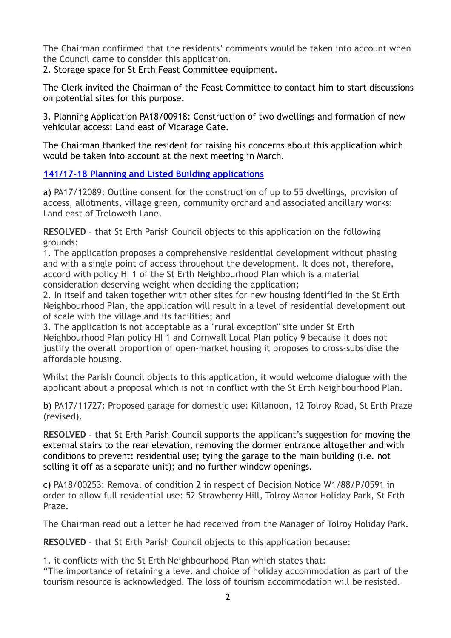The Chairman confirmed that the residents' comments would be taken into account when the Council came to consider this application.

2. Storage space for St Erth Feast Committee equipment.

The Clerk invited the Chairman of the Feast Committee to contact him to start discussions on potential sites for this purpose.

3. Planning Application PA18/00918: Construction of two dwellings and formation of new vehicular access: Land east of Vicarage Gate.

The Chairman thanked the resident for raising his concerns about this application which would be taken into account at the next meeting in March.

**[141/17-18 Planning and Listed Building applications](https://sterth-pc.gov.uk/planning-applications-table/)**

a) PA17/12089: Outline consent for the construction of up to 55 dwellings, provision of access, allotments, village green, community orchard and associated ancillary works: Land east of Treloweth Lane.

**RESOLVED** – that St Erth Parish Council objects to this application on the following grounds:

1. The application proposes a comprehensive residential development without phasing and with a single point of access throughout the development. It does not, therefore, accord with policy HI 1 of the St Erth Neighbourhood Plan which is a material consideration deserving weight when deciding the application;

2. In itself and taken together with other sites for new housing identified in the St Erth Neighbourhood Plan, the application will result in a level of residential development out of scale with the village and its facilities; and

3. The application is not acceptable as a "rural exception" site under St Erth Neighbourhood Plan policy HI 1 and Cornwall Local Plan policy 9 because it does not justify the overall proportion of open-market housing it proposes to cross-subsidise the affordable housing.

Whilst the Parish Council objects to this application, it would welcome dialogue with the applicant about a proposal which is not in conflict with the St Erth Neighbourhood Plan.

b) PA17/11727: Proposed garage for domestic use: Killanoon, 12 Tolroy Road, St Erth Praze (revised).

**RESOLVED** – that St Erth Parish Council supports the applicant's suggestion for moving the external stairs to the rear elevation, removing the dormer entrance altogether and with conditions to prevent: residential use; tying the garage to the main building (i.e. not selling it off as a separate unit); and no further window openings.

c) PA18/00253: Removal of condition 2 in respect of Decision Notice W1/88/P/0591 in order to allow full residential use: 52 Strawberry Hill, Tolroy Manor Holiday Park, St Erth Praze.

The Chairman read out a letter he had received from the Manager of Tolroy Holiday Park.

**RESOLVED** – that St Erth Parish Council objects to this application because:

1. it conflicts with the St Erth Neighbourhood Plan which states that:

"The importance of retaining a level and choice of holiday accommodation as part of the tourism resource is acknowledged. The loss of tourism accommodation will be resisted.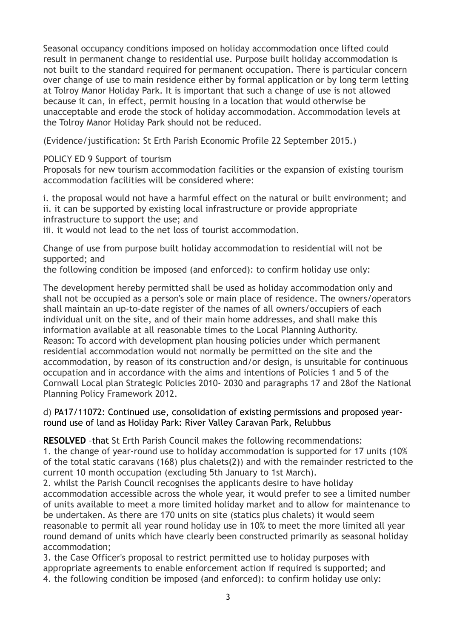Seasonal occupancy conditions imposed on holiday accommodation once lifted could result in permanent change to residential use. Purpose built holiday accommodation is not built to the standard required for permanent occupation. There is particular concern over change of use to main residence either by formal application or by long term letting at Tolroy Manor Holiday Park. It is important that such a change of use is not allowed because it can, in effect, permit housing in a location that would otherwise be unacceptable and erode the stock of holiday accommodation. Accommodation levels at the Tolroy Manor Holiday Park should not be reduced.

(Evidence/justification: St Erth Parish Economic Profile 22 September 2015.)

POLICY ED 9 Support of tourism

Proposals for new tourism accommodation facilities or the expansion of existing tourism accommodation facilities will be considered where:

i. the proposal would not have a harmful effect on the natural or built environment; and ii. it can be supported by existing local infrastructure or provide appropriate infrastructure to support the use; and

iii. it would not lead to the net loss of tourist accommodation.

Change of use from purpose built holiday accommodation to residential will not be supported; and

the following condition be imposed (and enforced): to confirm holiday use only:

The development hereby permitted shall be used as holiday accommodation only and shall not be occupied as a person's sole or main place of residence. The owners/operators shall maintain an up-to-date register of the names of all owners/occupiers of each individual unit on the site, and of their main home addresses, and shall make this information available at all reasonable times to the Local Planning Authority. Reason: To accord with development plan housing policies under which permanent residential accommodation would not normally be permitted on the site and the accommodation, by reason of its construction and/or design, is unsuitable for continuous occupation and in accordance with the aims and intentions of Policies 1 and 5 of the Cornwall Local plan Strategic Policies 2010- 2030 and paragraphs 17 and 28of the National Planning Policy Framework 2012.

d) PA17/11072: Continued use, consolidation of existing permissions and proposed yearround use of land as Holiday Park: River Valley Caravan Park, Relubbus

**RESOLVED** –that St Erth Parish Council makes the following recommendations:

1. the change of year-round use to holiday accommodation is supported for 17 units (10% of the total static caravans (168) plus chalets(2)) and with the remainder restricted to the current 10 month occupation (excluding 5th January to 1st March).

2. whilst the Parish Council recognises the applicants desire to have holiday accommodation accessible across the whole year, it would prefer to see a limited number of units available to meet a more limited holiday market and to allow for maintenance to be undertaken. As there are 170 units on site (statics plus chalets) it would seem reasonable to permit all year round holiday use in 10% to meet the more limited all year round demand of units which have clearly been constructed primarily as seasonal holiday accommodation;

3. the Case Officer's proposal to restrict permitted use to holiday purposes with appropriate agreements to enable enforcement action if required is supported; and 4. the following condition be imposed (and enforced): to confirm holiday use only: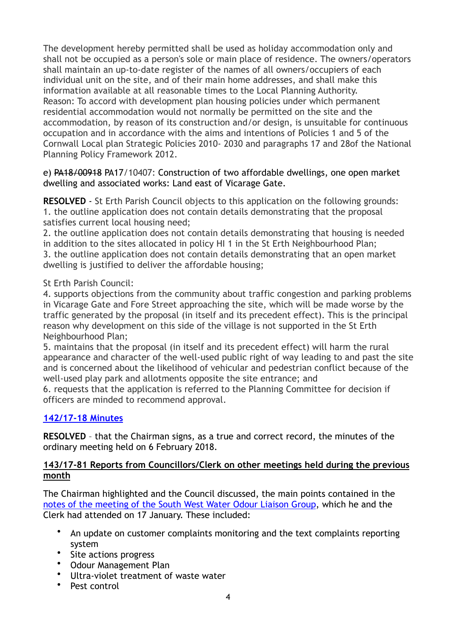The development hereby permitted shall be used as holiday accommodation only and shall not be occupied as a person's sole or main place of residence. The owners/operators shall maintain an up-to-date register of the names of all owners/occupiers of each individual unit on the site, and of their main home addresses, and shall make this information available at all reasonable times to the Local Planning Authority. Reason: To accord with development plan housing policies under which permanent residential accommodation would not normally be permitted on the site and the accommodation, by reason of its construction and/or design, is unsuitable for continuous occupation and in accordance with the aims and intentions of Policies 1 and 5 of the Cornwall Local plan Strategic Policies 2010- 2030 and paragraphs 17 and 28of the National Planning Policy Framework 2012.

### [e\) PA18/00918 PA17/10407: Construction of two affordable dwellings, one open market](http://planning.cornwall.gov.uk/online-applications/applicationDetails.do?activeTab=summary&keyVal=OYQZCBFGG9Z00&prevPage=inTray)  [dwelling and associated works](http://planning.cornwall.gov.uk/online-applications/applicationDetails.do?activeTab=summary&keyVal=OYQZCBFGG9Z00&prevPage=inTray): Land east of Vicarage Gate.

**RESOLVED** - St Erth Parish Council objects to this application on the following grounds: 1. the outline application does not contain details demonstrating that the proposal satisfies current local housing need;

2. the outline application does not contain details demonstrating that housing is needed in addition to the sites allocated in policy HI 1 in the St Erth Neighbourhood Plan; 3. the outline application does not contain details demonstrating that an open market dwelling is justified to deliver the affordable housing;

## St Erth Parish Council:

4. supports objections from the community about traffic congestion and parking problems in Vicarage Gate and Fore Street approaching the site, which will be made worse by the traffic generated by the proposal (in itself and its precedent effect). This is the principal reason why development on this side of the village is not supported in the St Erth Neighbourhood Plan;

5. maintains that the proposal (in itself and its precedent effect) will harm the rural appearance and character of the well-used public right of way leading to and past the site and is concerned about the likelihood of vehicular and pedestrian conflict because of the well-used play park and allotments opposite the site entrance; and

6. requests that the application is referred to the Planning Committee for decision if officers are minded to recommend approval.

## **[142/17-18 Minutes](https://sterth-pc.gov.uk/type/minutes-2/)**

**RESOLVED** – that the Chairman signs, as a true and correct record, the minutes of the ordinary meeting held on 6 February 2018.

## **143/17-81 Reports from Councillors/Clerk on other meetings held during the previous month**

The Chairman highlighted and the Council discussed, the main points contained in the [notes of the meeting of the South West Water Odour Liaison Group,](https://sterth-pc.gov.uk/type/sww-liaison-meetings/) which he and the Clerk had attended on 17 January. These included:

- An update on customer complaints monitoring and the text complaints reporting system
- Site actions progress
- Odour Management Plan
- Ultra-violet treatment of waste water
- Pest control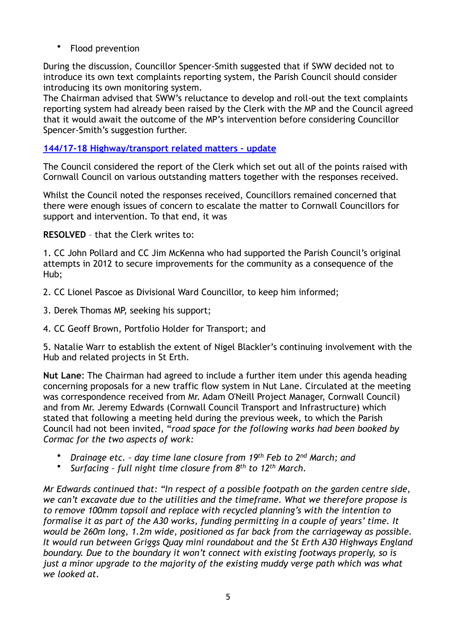• Flood prevention

During the discussion, Councillor Spencer-Smith suggested that if SWW decided not to introduce its own text complaints reporting system, the Parish Council should consider introducing its own monitoring system.

The Chairman advised that SWW's reluctance to develop and roll-out the text complaints reporting system had already been raised by the Clerk with the MP and the Council agreed that it would await the outcome of the MP's intervention before considering Councillor Spencer-Smith's suggestion further.

## **[144/17-18 Highway/transport related matters – update](http://www.sterth-pc.gov.uk/wp-content/uploads/2018/02/Report-8.pdf)**

The Council considered the report of the Clerk which set out all of the points raised with Cornwall Council on various outstanding matters together with the responses received.

Whilst the Council noted the responses received, Councillors remained concerned that there were enough issues of concern to escalate the matter to Cornwall Councillors for support and intervention. To that end, it was

**RESOLVED** – that the Clerk writes to:

1. CC John Pollard and CC Jim McKenna who had supported the Parish Council's original attempts in 2012 to secure improvements for the community as a consequence of the Hub;

- 2. CC Lionel Pascoe as Divisional Ward Councillor, to keep him informed;
- 3. Derek Thomas MP, seeking his support;
- 4. CC Geoff Brown, Portfolio Holder for Transport; and

5. Natalie Warr to establish the extent of Nigel Blackler's continuing involvement with the Hub and related projects in St Erth.

**Nut Lane**: The Chairman had agreed to include a further item under this agenda heading concerning proposals for a new traffic flow system in Nut Lane. Circulated at the meeting was correspondence received from Mr. Adam O'Neill Project Manager, Cornwall Council) and from Mr. Jeremy Edwards (Cornwall Council Transport and Infrastructure) which stated that following a meeting held during the previous week, to which the Parish Council had not been invited, "*road space for the following works had been booked by Cormac for the two aspects of work:*

- *Drainage etc. day time lane closure from 19th Feb to 2nd March; and*
- *Surfacing full night time closure from 8th to 12th March.*

*Mr Edwards continued that: "In respect of a possible footpath on the garden centre side, we can't excavate due to the utilities and the timeframe. What we therefore propose is to remove 100mm topsoil and replace with recycled planning's with the intention to formalise it as part of the A30 works, funding permitting in a couple of years' time. It would be 260m long, 1.2m wide, positioned as far back from the carriageway as possible. It would run between Griggs Quay mini roundabout and the St Erth A30 Highways England boundary. Due to the boundary it won't connect with existing footways properly, so is just a minor upgrade to the majority of the existing muddy verge path which was what we looked at.*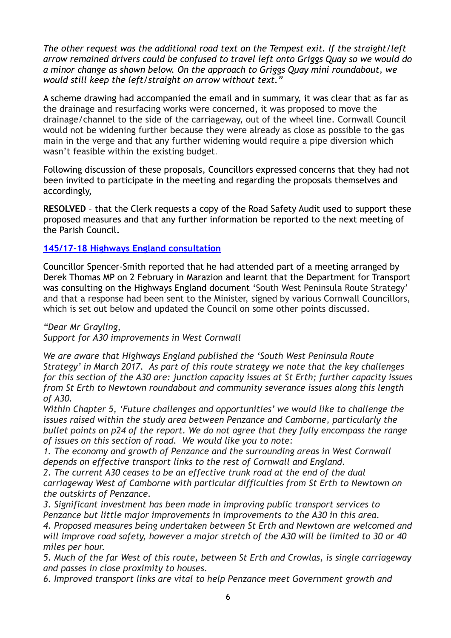*The other request was the additional road text on the Tempest exit. If the straight/left arrow remained drivers could be confused to travel left onto Griggs Quay so we would do a minor change as shown below. On the approach to Griggs Quay mini roundabout, we would still keep the left/straight on arrow without text."* 

A scheme drawing had accompanied the email and in summary, it was clear that as far as the drainage and resurfacing works were concerned, it was proposed to move the drainage/channel to the side of the carriageway, out of the wheel line. Cornwall Council would not be widening further because they were already as close as possible to the gas main in the verge and that any further widening would require a pipe diversion which wasn't feasible within the existing budget.

Following discussion of these proposals, Councillors expressed concerns that they had not been invited to participate in the meeting and regarding the proposals themselves and accordingly,

**RESOLVED** – that the Clerk requests a copy of the Road Safety Audit used to support these proposed measures and that any further information be reported to the next meeting of the Parish Council.

## **[145/17-18 Highways England consultation](http://www.sterth-pc.gov.uk/wp-content/uploads/2018/02/report-9.pdf)**

Councillor Spencer-Smith reported that he had attended part of a meeting arranged by Derek Thomas MP on 2 February in Marazion and learnt that the Department for Transport was consulting on the Highways England document 'South West Peninsula Route Strategy' and that a response had been sent to the Minister, signed by various Cornwall Councillors, which is set out below and updated the Council on some other points discussed.

*"Dear Mr Grayling,* 

*Support for A30 improvements in West Cornwall*

*We are aware that Highways England published the 'South West Peninsula Route Strategy' in March 2017. As part of this route strategy we note that the key challenges for this section of the A30 are: junction capacity issues at St Erth; further capacity issues from St Erth to Newtown roundabout and community severance issues along this length of A30.*

*Within Chapter 5, 'Future challenges and opportunities' we would like to challenge the issues raised within the study area between Penzance and Camborne, particularly the bullet points on p24 of the report. We do not agree that they fully encompass the range of issues on this section of road. We would like you to note:*

*1. The economy and growth of Penzance and the surrounding areas in West Cornwall depends on effective transport links to the rest of Cornwall and England.*

*2. The current A30 ceases to be an effective trunk road at the end of the dual carriageway West of Camborne with particular difficulties from St Erth to Newtown on the outskirts of Penzance.*

*3. Significant investment has been made in improving public transport services to Penzance but little major improvements in improvements to the A30 in this area. 4. Proposed measures being undertaken between St Erth and Newtown are welcomed and will improve road safety, however a major stretch of the A30 will be limited to 30 or 40 miles per hour.*

*5. Much of the far West of this route, between St Erth and Crowlas, is single carriageway and passes in close proximity to houses.*

*6. Improved transport links are vital to help Penzance meet Government growth and*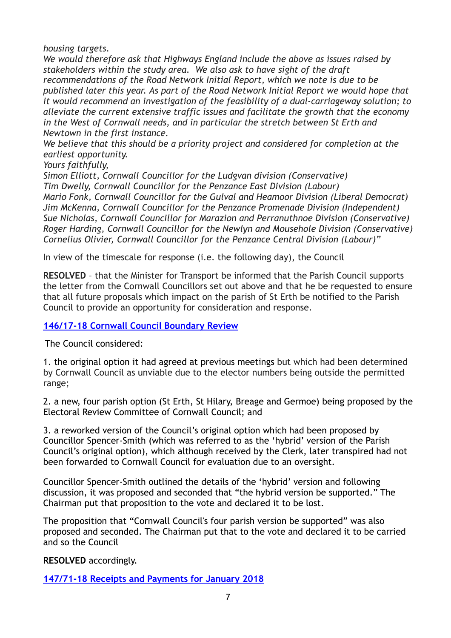*housing targets.*

*We would therefore ask that Highways England include the above as issues raised by stakeholders within the study area. We also ask to have sight of the draft recommendations of the Road Network Initial Report, which we note is due to be published later this year. As part of the Road Network Initial Report we would hope that it would recommend an investigation of the feasibility of a dual-carriageway solution; to alleviate the current extensive traffic issues and facilitate the growth that the economy in the West of Cornwall needs, and in particular the stretch between St Erth and Newtown in the first instance.*

*We believe that this should be a priority project and considered for completion at the earliest opportunity.*

*Yours faithfully,*

*Simon Elliott, Cornwall Councillor for the Ludgvan division (Conservative) Tim Dwelly, Cornwall Councillor for the Penzance East Division (Labour) Mario Fonk, Cornwall Councillor for the Gulval and Heamoor Division (Liberal Democrat) Jim McKenna, Cornwall Councillor for the Penzance Promenade Division (Independent) Sue Nicholas, Cornwall Councillor for Marazion and Perranuthnoe Division (Conservative) Roger Harding, Cornwall Councillor for the Newlyn and Mousehole Division (Conservative) Cornelius Olivier, Cornwall Councillor for the Penzance Central Division (Labour)"* 

In view of the timescale for response (i.e. the following day), the Council

**RESOLVED** – that the Minister for Transport be informed that the Parish Council supports the letter from the Cornwall Councillors set out above and that he be requested to ensure that all future proposals which impact on the parish of St Erth be notified to the Parish Council to provide an opportunity for consideration and response.

## **146/17-18 [Cornwall Council Boundary Review](http://www.sterth-pc.gov.uk/wp-content/uploads/2018/02/boundry.pdf)**

The Council considered:

1. the original option it had agreed at previous meetings but which had been determined by Cornwall Council as unviable due to the elector numbers being outside the permitted range;

2. a new, four parish option (St Erth, St Hilary, Breage and Germoe) being proposed by the Electoral Review Committee of Cornwall Council; and

3. a reworked version of the Council's original option which had been proposed by Councillor Spencer-Smith (which was referred to as the 'hybrid' version of the Parish Council's original option), which although received by the Clerk, later transpired had not been forwarded to Cornwall Council for evaluation due to an oversight.

Councillor Spencer-Smith outlined the details of the 'hybrid' version and following discussion, it was proposed and seconded that "the hybrid version be supported." The Chairman put that proposition to the vote and declared it to be lost.

The proposition that "Cornwall Council's four parish version be supported" was also proposed and seconded. The Chairman put that to the vote and declared it to be carried and so the Council

**RESOLVED** accordingly.

**[147/71-18 Receipts and Payments for January 2018](https://sterth-pc.gov.uk/type/financial-matters/)**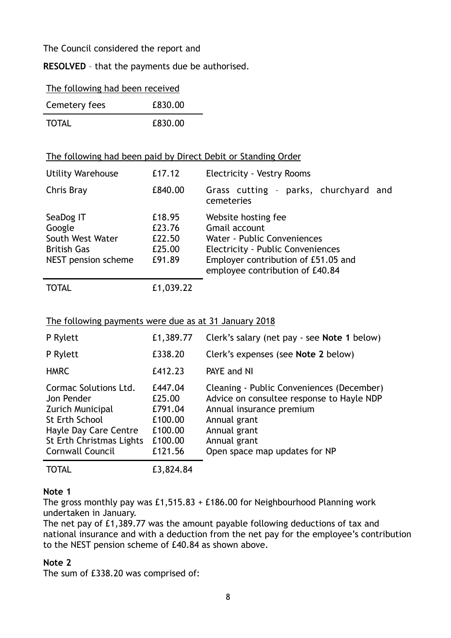The Council considered the report and

**RESOLVED** – that the payments due be authorised.

| The following had been received |
|---------------------------------|
|---------------------------------|

| Cemetery fees | £830.00 |
|---------------|---------|
| <b>TOTAL</b>  | £830.00 |

### The following had been paid by Direct Debit or Standing Order

| <b>Utility Warehouse</b>                                                             | £17.12                                         | <b>Electricity - Vestry Rooms</b>                                                                                                                                                         |
|--------------------------------------------------------------------------------------|------------------------------------------------|-------------------------------------------------------------------------------------------------------------------------------------------------------------------------------------------|
| Chris Bray                                                                           | £840.00                                        | Grass cutting - parks, churchyard and<br>cemeteries                                                                                                                                       |
| SeaDog IT<br>Google<br>South West Water<br><b>British Gas</b><br>NEST pension scheme | £18.95<br>£23.76<br>£22.50<br>£25.00<br>£91.89 | Website hosting fee<br><b>Gmail account</b><br>Water - Public Conveniences<br>Electricity - Public Conveniences<br>Employer contribution of £51.05 and<br>employee contribution of £40.84 |
| TOTAL                                                                                | £1,039.22                                      |                                                                                                                                                                                           |

#### The following payments were due as at 31 January 2018

| P Rylett                                                                                                                                                  | £1,389.77                                                                | Clerk's salary (net pay - see Note 1 below)                                                                                                                                                         |
|-----------------------------------------------------------------------------------------------------------------------------------------------------------|--------------------------------------------------------------------------|-----------------------------------------------------------------------------------------------------------------------------------------------------------------------------------------------------|
| P Rylett                                                                                                                                                  | £338.20                                                                  | Clerk's expenses (see Note 2 below)                                                                                                                                                                 |
| <b>HMRC</b>                                                                                                                                               | £412.23                                                                  | PAYE and NI                                                                                                                                                                                         |
| Cormac Solutions Ltd.<br>Jon Pender<br>Zurich Municipal<br><b>St Erth School</b><br>Hayle Day Care Centre<br>St Erth Christmas Lights<br>Cornwall Council | £447.04<br>£25.00<br>£791.04<br>£100.00<br>£100.00<br>£100.00<br>£121.56 | Cleaning - Public Conveniences (December)<br>Advice on consultee response to Hayle NDP<br>Annual insurance premium<br>Annual grant<br>Annual grant<br>Annual grant<br>Open space map updates for NP |
| <b>TOTAL</b>                                                                                                                                              | £3,824.84                                                                |                                                                                                                                                                                                     |

#### **Note 1**

The gross monthly pay was £1,515.83 + £186.00 for Neighbourhood Planning work undertaken in January.

The net pay of £1,389.77 was the amount payable following deductions of tax and national insurance and with a deduction from the net pay for the employee's contribution to the NEST pension scheme of £40.84 as shown above.

#### **Note 2**

The sum of £338.20 was comprised of: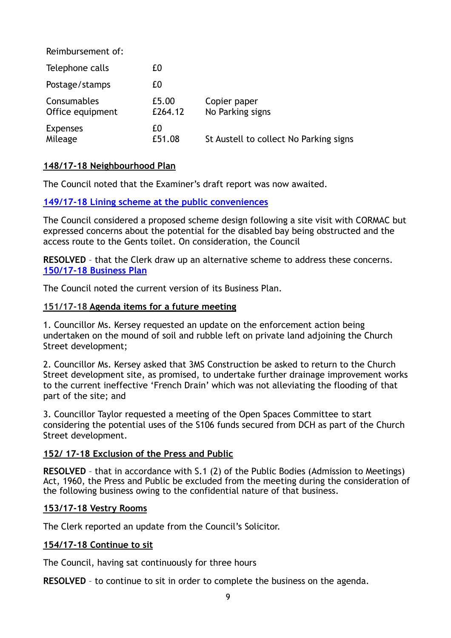| Reimbursement of:               |                  |                                        |
|---------------------------------|------------------|----------------------------------------|
| Telephone calls                 | £0               |                                        |
| Postage/stamps                  | £0               |                                        |
| Consumables<br>Office equipment | £5.00<br>£264.12 | Copier paper<br>No Parking signs       |
| <b>Expenses</b><br>Mileage      | £0<br>£51.08     | St Austell to collect No Parking signs |

## **148/17-18 Neighbourhood Plan**

The Council noted that the Examiner's draft report was now awaited.

#### **[149/17-18 Lining scheme at the public conveniences](http://www.sterth-pc.gov.uk/wp-content/uploads/2018/02/Report-13.pdf)**

The Council considered a proposed scheme design following a site visit with CORMAC but expressed concerns about the potential for the disabled bay being obstructed and the access route to the Gents toilet. On consideration, the Council

**RESOLVED** – that the Clerk draw up an alternative scheme to address these concerns. **[150/17-18 Business Plan](https://sterth-pc.gov.uk/wp-content/uploads/2018/03/11.-March-2018.pdf)**

The Council noted the current version of its Business Plan.

#### **151/17-18 Agenda items for a future meeting**

1. Councillor Ms. Kersey requested an update on the enforcement action being undertaken on the mound of soil and rubble left on private land adjoining the Church Street development;

2. Councillor Ms. Kersey asked that 3MS Construction be asked to return to the Church Street development site, as promised, to undertake further drainage improvement works to the current ineffective 'French Drain' which was not alleviating the flooding of that part of the site; and

3. Councillor Taylor requested a meeting of the Open Spaces Committee to start considering the potential uses of the S106 funds secured from DCH as part of the Church Street development.

#### **152/ 17-18 Exclusion of the Press and Public**

**RESOLVED** – that in accordance with S.1 (2) of the Public Bodies (Admission to Meetings) Act, 1960, the Press and Public be excluded from the meeting during the consideration of the following business owing to the confidential nature of that business.

#### **153/17-18 Vestry Rooms**

The Clerk reported an update from the Council's Solicitor.

#### **154/17-18 Continue to sit**

The Council, having sat continuously for three hours

**RESOLVED** – to continue to sit in order to complete the business on the agenda.